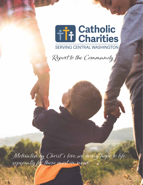

Report to the Community

Motivated by Christ 's love, we bring hope to life, especially for those most in need.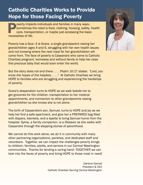### Catholic Charities Works to Provide Hope for those Facing Poverty

Poverty impacts individuals and families in many ways–<br>sometimes the need is food, clothing, housing, safety,<br>care, transportation, or maybe just accessing the basic<br>necessities of life. sometimes the need is food, clothing, housing, safety, health care, transportation, or maybe just accessing the basic necessities of life.

Poverty has a face–it is Grace, a single grandparent raising her grandchildren ages 4 and 6, struggling with her own health issues and not knowing where the next meal for her grandchildren will come from. The face of poverty is Cassandra who came to Catholic Charities pregnant, homeless and without family to help her raise this precious baby that would soon enter the world.

But the story does not end there . . . . Psalm 10:17 states: *"Lord, you know the hopes of the helpless . . . ."* At Catholic Charities we bring HOPE to families who are struggling and experiencing the hardships of poverty.

Grace's desperation turns to HOPE as we walk beside her to get groceries for the children, transportation to her medical appointments, and connection to other grandparents raising grandchildren so she knows she is not alone.

The birth of Cassandra's son, Samuel, turns to HOPE and joy as we help her find a safe apartment, and give her a PREPARES bag filled with diapers, blankets, and a layette to bring Samuel home from the hospital. Sylvia, a family companion, is a lifesaver as she walks with Cassandra through the stepping stones of parenthood.

We cannot do this work alone, we do it in community with many other partnering organizations, parishes, and dedicated staff and volunteers. Together, we can impact the challenges poverty brings to children, families, adults, and seniors in our Central Washington communities. Thanks for lending a caring hand–TOGETHER we can look into the faces of poverty and bring HOPE to those most in need!

> *Darlene Darnell President & CEO Catholic Charities Serving Central Washington*

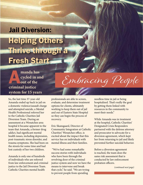## Helping Others Thrive through a Fresh Start Jail Diversion:

**A**<br> **A** cycled in an out of the criminal justice **cycled in and out of the system for 15 years**

So, the last time 37-year-old Amanda ended up back in jail on a domestic violence/assault charge and attempted suicide, a Mental Health Professional referred her to the Catholic Charities Jail Diversion Team. During an assessment at a Wenatchee area hospital it became apparent to the team that Amanda, a former drug addict, had significant mental health issues, including depression, post-traumatic stress disorder, and trauma symptoms. She had been on the streets for some time and had lost custody of her two children.

Amanda is only one of hundreds of individuals who are referred from law enforcement and criminal justice to the Jail Diversion Team. Catholic Charities mental health

professionals are able to screen, evaluate, and determine treatment options for clients, ultimately working to keep them out of jail and out of Eastern State Hospital so they can begin the process of recovery.

Eric Skansgaard, Director of Community Integration at Catholic Charities' Wenatchee office, is excited about the impact that this service has on individuals with mental illness and their families.

 "We've had some remarkable success stories with individuals who have been through the revolving door of the criminal justice system and now we have the means to intervene and break that cycle," he said. "We are trying to prevent people from spending

needless time in jail or being hospitalized. That's really the goal by getting them linked with resources in the community to meet their needs"

While Amanda was in treatment at the hospital, Catholic Charities' Designated Crisis Responders partnered with the defense attorney and prosecutor to advocate for a diversion agreement, which kept her from returning to jail and likely prevented further suicidal behavior.

Before a diversion agreement is reached, the team does the same risk assessment that is conducted by law enforcement probation officers.

*(continued next page)*

Embracing People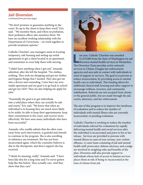### Jail Diversion

*(continued from previous page)*

"We don't promise or guarantee anything to the court. It's up to the client to keep their word," Eric said. "We monitor them, and when on probation, their probation officer also monitors them. We have an excellent working relationship with the Department of Corrections – we work together to provide treatment options."

Catholic Charities' case managers assist in locating temporary, safe housing and setting-up rental agreements to get a client located in an apartment, and sometimes to even help them with moving.

"I didn't have anything when I got out," Amanda admitted, after she left the hospital. "No clothes, nothing. They took me shopping and got me clothes and hygiene things that I needed. They also got me into a doctor and counseling. I now have my own studio apartment and my goal is to go back to school and get my GED. They are also helping me apply for jobs."

"Essentially the goal is to get individuals into a solid place where they can actually be safe and warm," Eric said. "We know that when an individual is in housing they are much more likely to be stable, be able to keep their appointments, keep their commitment to the court, and recover more effectively. We have seen many individuals who have been successful."

Amanda, who readily admits that she often runs away from such intervention, is grateful and intends to continue in the program. She is also enrolling in substance use treatment. She has not been incarcerated again, which the counselor believes is due to the therapeutic and direct support she has received.

"I think it's amazing, really," Amanda said. "I have been like this for a long time and I've never gotten help like this before. They actually care. And they show that they care."



ast year, Catholic Charities was awarded<br>\$1,079,000 from the State of Washington<br>diversion mental health services in Wena<br>The Diversion Team provides active outreach ast year, Catholic Charities was awarded \$1,079,000 from the State of Washington for jail diversion mental health services in Wenatchee. services to Chelan-Douglas law enforcement agencies and area jails in contact with individuals in need of support or services. The goal is to prevent or reduce incarceration, by providing access to mental health care to individuals. This funding allows for additional clinical staff, housing and other support to encourage wellness, recovery, and community stabilization. Referrals are not accepted from clients or the general public, but are made through the jail, courts, attorneys, and law enforcement.

The aim of this program is to improve the timeliness of evaluation and to reduce the number of individuals with mental illness who are currently incarcerated, or pending evaluation.

Catholic Charities is working to reduce the number of individuals referred for evaluations by rapidly delivering mental health and social services after the individual is incarcerated and prior to his or her release. Services are provided to persons with mental illness in cases of non-serious, non-violent offenses. A court team consisting of jail and mental health staff, prosecutor, defense attorney, and a judge are involved in weighing risks and benefits of the plan. Diversion staff also provide support to individuals whose lack of access to human services places them at risk of being re-incarcerated at the time of release from jail.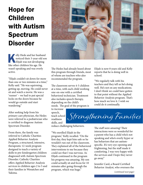## Hope for Children with Autism Spectrum Disorder

elly Hede and her husband<br>noticed their 3-year-old sor<br>Elijah was not developing<br>like other children his age He noticed their 3-year-old son Elijah was not developing like other children his age. He wasn't speaking and was overly active.

"Elijah couldn't sit down for more than one or two minutes at a time," Kelly said. "He was squirming, getting up, moving. He could never sit and watch a movie. He was a 'runner' – we had to put special locks on the doors because he would go outside and start wandering."

After seeking help from his primary care physician, the Hedes were referred to a pediatrician who is certified to diagnose Autism Spectrum Disorder.

From there, the family was referred to Catholic Charities Applied Behavior Analysis Program, a structured, intensive, therapeutic 12-week program designed to teach a variety of skills to pre-kindergarten children diagnosed with Autism Spectrum Disorder. Catholic Charities offers Applied Behavior Analysis services to children ages 2 to 5 and their families in Wenatchee and Yakima.



The Hedes had already heard about this program through friends, most of whom are teachers who also recommended the program.

The classroom serves 4-5 children at a time, with each child working one-on-one with a certified behavioral technician. Treatment also includes speech therapy, depending on the child's needs. The goal of the program is

to increase speech, teach school readiness skills, and

reduce challenging behaviors.

"We enrolled Elijah in the program," Kelly recalled. "On the first day, they kept him safe so he wouldn't run out of the classroom. They explained all of the behavioral interventions to me because they could see that I was nervous. As Elijah continued in the program his progress was amazing. My son could actually sit and focus for 10 minutes after going through the program, which was huge."

Elijah is now 8 years old and Kelly reports that he is doing well in school.

"We regularly talk with his teachers and they tell us he's doing well. He's not on any medications. I don't think we could have gotten to that point without the Applied Behavior Analysis program. That's how much we love it. I wish we could do it continually.

Strengthening Families

The staff were amazing! Their interactions were so wonderful for a parent who has a child who's not speaking and who's overly hyper or has behaviors that are autismspecific. It's very eye-opening and frightening, but the staff made it comforting. I was very happy with the services and I hope they never go away."

Jennifer Card, a Board Certified Behavior Analyst, who oversees the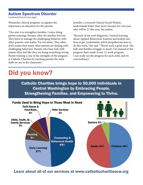### Autism Spectrum Disorder

*(continued from previous page)*

Wenatchee clinical program, recognizes the importance of education for the parents.

"Our aim is to strengthen families. I enjoy doing parent trainings, because often the families feel lost. They learn to manage the challenging behavior with other parents, and realize 'I'm not alone.' They often don't realize how many other parents are dealing with challenging behaviors. Parents who have kids with autism often feel like they are doing something wrong. Parent training is one of the strengths of the program at Catholic Charities by teaching parents the same skills we use in the classroom."

Jennifer, a Licensed Clinical Social Worker, understands better than most, because her own son, who will be 21 this year, has autism.

"Because of my son's diagnosis, I started learning about Applied Behavioral Analysis and looked into how to get credentialed, which propelled me here to do this work," she said. "There's such a great need. The kids and families struggle so much. I'm amazed at the progress that's made in our 12-week program. I can really see the progress for each child, and it's extraordinary."

### Did you know?

Catholic Charities brings hope to 50,000 individuals in Central Washington by Embracing People, Strengthening Families, and Empowering to Thrive.



Learn about all of our services at www.catholiccharitiescw.org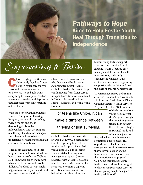### *Pathways to Hope* Aims to Help Foster Youth Heal Through Transition to Independence

# Empowering to Thrive

hloe is trying. The 20-year-<br>old recently "aged out" after<br>being in foster care for five<br>vears and is now moving out old recently "aged out" after being in foster care for five years and is now moving out on her own. She so badly wants everything to be okay, but she has severe social anxiety and depression that keeps her from fully reaching out to others.

With the help of Catholic Charities' Youth & Young Adult Housing Program, she attends counseling twice a month and she is developing skills to live independently. With the support of a therapist and a case manager, she is learning how to better understand her challenges and gain control of her emotions.

"I really am glad that I'm in this program because I do need to know how to take care of myself," Chloe said. "But, there are so many days when even being around people is difficult. I'm afraid of what might happen to me on my own and I just feel down most of the time."

Chloe is one of many foster teens who face mental health issues stemming from past trauma. Catholic Charities is there to help youth moving from foster care to independence. Services are offered in Yakima, Benton-Franklin, Kittitas, Klickitat, and Walla Walla Counties.

For teens like Chloe, it can make a difference between thriving or just surviving.

Catholic Charities was recently awarded a \$400,000 Social Impact Grant. Beginning March 1, the funding will support identified youth, ages 18-24, in securing safe and stable housing, case management support (how to budget, create a resume, do a job search, connect with community resources, or obtain a diploma or GED, etc.), connecting to behavioral health services, and

building long-lasting support systems. The combination of housing, trauma-focused case management, behavioral health interventions, and family engagement will help youth achieve and maintain long-lasting supportive relationships and break the cycle of chronic homelessness.

"Depression, anxiety, and trauma are areas we should be screening for all of the time," said Jeanne Olney, Catholic Charities Youth Services Program Director. "But because

> of the histories of our young people, what they've gone through, their unwillingness to trust adults in their life, or because they're in survival mode and need a safe place to

live, behavioral health issues are sometimes pushed aside. This opportunity will allow for a stronger connection between issues that face youth experiencing homelessness. We can focus on their emotional and physical well-being through behavioral health interventions. It is our goal to deliver comprehensive services that set young people on a path to healthy adulthood."